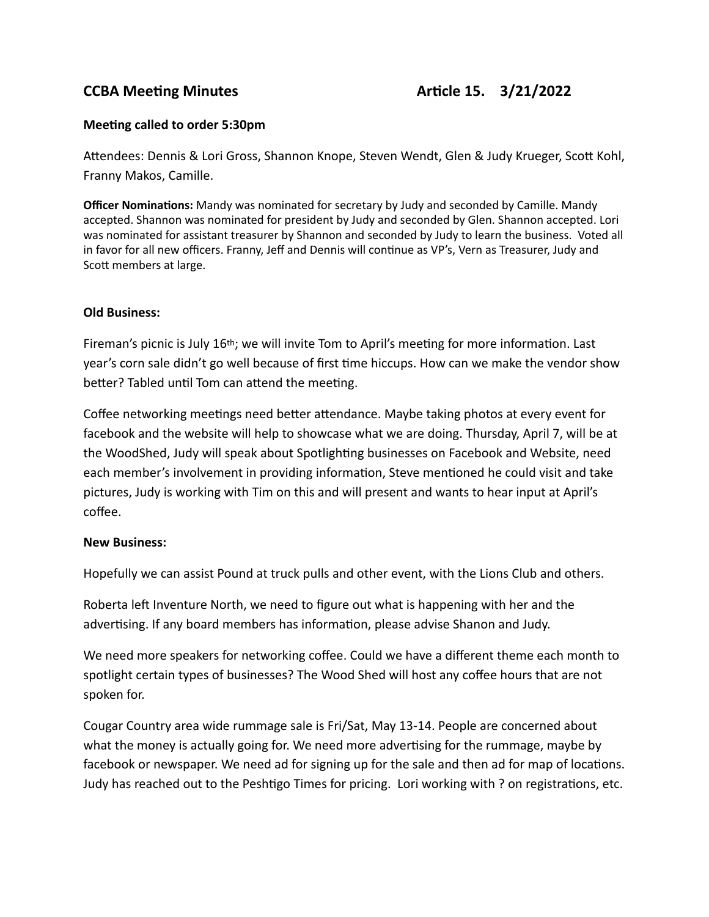# **CCBA Meeting Minutes CCBA Meeting Minutes**

### **Meeting called to order 5:30pm**

Attendees: Dennis & Lori Gross, Shannon Knope, Steven Wendt, Glen & Judy Krueger, Scott Kohl, Franny Makos, Camille.

**Officer Nominations:** Mandy was nominated for secretary by Judy and seconded by Camille. Mandy accepted. Shannon was nominated for president by Judy and seconded by Glen. Shannon accepted. Lori was nominated for assistant treasurer by Shannon and seconded by Judy to learn the business. Voted all in favor for all new officers. Franny, Jeff and Dennis will continue as VP's, Vern as Treasurer, Judy and Scott members at large.

#### **Old Business:**

Fireman's picnic is July 16th; we will invite Tom to April's meeting for more information. Last year's corn sale didn't go well because of first time hiccups. How can we make the vendor show better? Tabled until Tom can attend the meeting.

Coffee networking meetings need better attendance. Maybe taking photos at every event for facebook and the website will help to showcase what we are doing. Thursday, April 7, will be at the WoodShed, Judy will speak about Spotlighting businesses on Facebook and Website, need each member's involvement in providing information, Steve mentioned he could visit and take pictures, Judy is working with Tim on this and will present and wants to hear input at April's coffee.

#### **New Business:**

Hopefully we can assist Pound at truck pulls and other event, with the Lions Club and others.

Roberta left Inventure North, we need to figure out what is happening with her and the advertising. If any board members has information, please advise Shanon and Judy.

We need more speakers for networking coffee. Could we have a different theme each month to spotlight certain types of businesses? The Wood Shed will host any coffee hours that are not spoken for.

Cougar Country area wide rummage sale is Fri/Sat, May 13-14. People are concerned about what the money is actually going for. We need more advertising for the rummage, maybe by facebook or newspaper. We need ad for signing up for the sale and then ad for map of locations. Judy has reached out to the Peshtigo Times for pricing. Lori working with ? on registrations, etc.